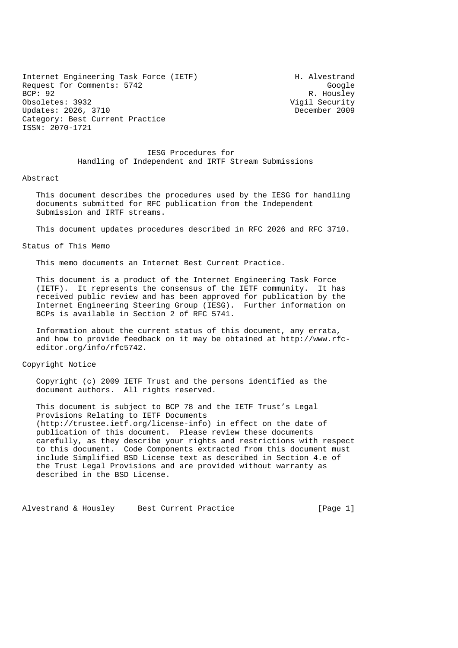Internet Engineering Task Force (IETF) The Muslim H. Alvestrand Request for Comments: 5742 Google<br>BCP: 92 R. Housley Obsoletes: 3932 Vigil Security Updates: 2026, 3710 December 2009 Category: Best Current Practice ISSN: 2070-1721

R. Housley

 IESG Procedures for Handling of Independent and IRTF Stream Submissions

#### Abstract

 This document describes the procedures used by the IESG for handling documents submitted for RFC publication from the Independent Submission and IRTF streams.

This document updates procedures described in RFC 2026 and RFC 3710.

### Status of This Memo

This memo documents an Internet Best Current Practice.

 This document is a product of the Internet Engineering Task Force (IETF). It represents the consensus of the IETF community. It has received public review and has been approved for publication by the Internet Engineering Steering Group (IESG). Further information on BCPs is available in Section 2 of RFC 5741.

 Information about the current status of this document, any errata, and how to provide feedback on it may be obtained at http://www.rfc editor.org/info/rfc5742.

#### Copyright Notice

 Copyright (c) 2009 IETF Trust and the persons identified as the document authors. All rights reserved.

 This document is subject to BCP 78 and the IETF Trust's Legal Provisions Relating to IETF Documents (http://trustee.ietf.org/license-info) in effect on the date of publication of this document. Please review these documents carefully, as they describe your rights and restrictions with respect to this document. Code Components extracted from this document must include Simplified BSD License text as described in Section 4.e of the Trust Legal Provisions and are provided without warranty as described in the BSD License.

Alvestrand & Housley Best Current Practice [Page 1]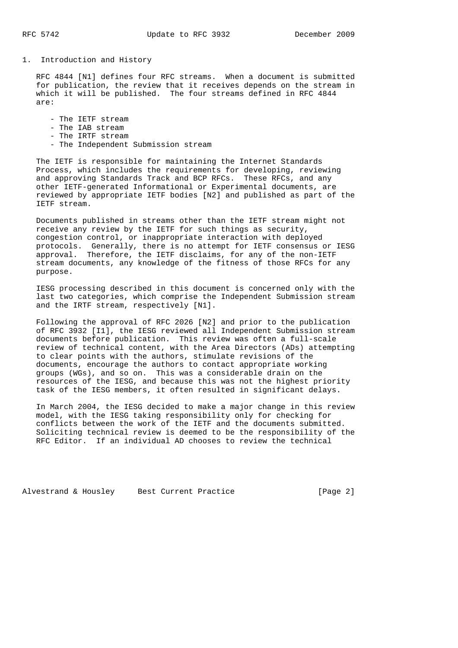1. Introduction and History

 RFC 4844 [N1] defines four RFC streams. When a document is submitted for publication, the review that it receives depends on the stream in which it will be published. The four streams defined in RFC 4844 are:

- The IETF stream
- The IAB stream
- The IRTF stream
- The Independent Submission stream

 The IETF is responsible for maintaining the Internet Standards Process, which includes the requirements for developing, reviewing and approving Standards Track and BCP RFCs. These RFCs, and any other IETF-generated Informational or Experimental documents, are reviewed by appropriate IETF bodies [N2] and published as part of the IETF stream.

 Documents published in streams other than the IETF stream might not receive any review by the IETF for such things as security, congestion control, or inappropriate interaction with deployed protocols. Generally, there is no attempt for IETF consensus or IESG approval. Therefore, the IETF disclaims, for any of the non-IETF stream documents, any knowledge of the fitness of those RFCs for any purpose.

 IESG processing described in this document is concerned only with the last two categories, which comprise the Independent Submission stream and the IRTF stream, respectively [N1].

 Following the approval of RFC 2026 [N2] and prior to the publication of RFC 3932 [I1], the IESG reviewed all Independent Submission stream documents before publication. This review was often a full-scale review of technical content, with the Area Directors (ADs) attempting to clear points with the authors, stimulate revisions of the documents, encourage the authors to contact appropriate working groups (WGs), and so on. This was a considerable drain on the resources of the IESG, and because this was not the highest priority task of the IESG members, it often resulted in significant delays.

 In March 2004, the IESG decided to make a major change in this review model, with the IESG taking responsibility only for checking for conflicts between the work of the IETF and the documents submitted. Soliciting technical review is deemed to be the responsibility of the RFC Editor. If an individual AD chooses to review the technical

Alvestrand & Housley Best Current Practice [Page 2]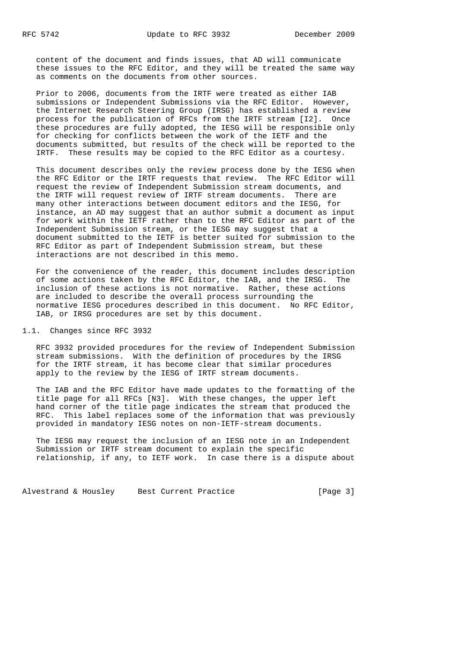content of the document and finds issues, that AD will communicate these issues to the RFC Editor, and they will be treated the same way as comments on the documents from other sources.

 Prior to 2006, documents from the IRTF were treated as either IAB submissions or Independent Submissions via the RFC Editor. However, the Internet Research Steering Group (IRSG) has established a review process for the publication of RFCs from the IRTF stream [I2]. Once these procedures are fully adopted, the IESG will be responsible only for checking for conflicts between the work of the IETF and the documents submitted, but results of the check will be reported to the IRTF. These results may be copied to the RFC Editor as a courtesy.

 This document describes only the review process done by the IESG when the RFC Editor or the IRTF requests that review. The RFC Editor will request the review of Independent Submission stream documents, and the IRTF will request review of IRTF stream documents. There are many other interactions between document editors and the IESG, for instance, an AD may suggest that an author submit a document as input for work within the IETF rather than to the RFC Editor as part of the Independent Submission stream, or the IESG may suggest that a document submitted to the IETF is better suited for submission to the RFC Editor as part of Independent Submission stream, but these interactions are not described in this memo.

 For the convenience of the reader, this document includes description of some actions taken by the RFC Editor, the IAB, and the IRSG. The inclusion of these actions is not normative. Rather, these actions are included to describe the overall process surrounding the normative IESG procedures described in this document. No RFC Editor, IAB, or IRSG procedures are set by this document.

### 1.1. Changes since RFC 3932

 RFC 3932 provided procedures for the review of Independent Submission stream submissions. With the definition of procedures by the IRSG for the IRTF stream, it has become clear that similar procedures apply to the review by the IESG of IRTF stream documents.

 The IAB and the RFC Editor have made updates to the formatting of the title page for all RFCs [N3]. With these changes, the upper left hand corner of the title page indicates the stream that produced the RFC. This label replaces some of the information that was previously provided in mandatory IESG notes on non-IETF-stream documents.

 The IESG may request the inclusion of an IESG note in an Independent Submission or IRTF stream document to explain the specific relationship, if any, to IETF work. In case there is a dispute about

Alvestrand & Housley Best Current Practice [Page 3]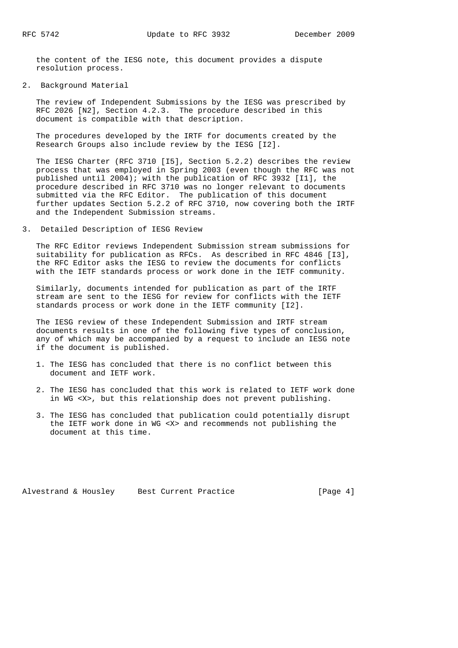the content of the IESG note, this document provides a dispute resolution process.

## 2. Background Material

 The review of Independent Submissions by the IESG was prescribed by RFC 2026 [N2], Section 4.2.3. The procedure described in this document is compatible with that description.

 The procedures developed by the IRTF for documents created by the Research Groups also include review by the IESG [I2].

 The IESG Charter (RFC 3710 [I5], Section 5.2.2) describes the review process that was employed in Spring 2003 (even though the RFC was not published until 2004); with the publication of RFC 3932 [I1], the procedure described in RFC 3710 was no longer relevant to documents submitted via the RFC Editor. The publication of this document further updates Section 5.2.2 of RFC 3710, now covering both the IRTF and the Independent Submission streams.

### 3. Detailed Description of IESG Review

 The RFC Editor reviews Independent Submission stream submissions for suitability for publication as RFCs. As described in RFC 4846 [I3], the RFC Editor asks the IESG to review the documents for conflicts with the IETF standards process or work done in the IETF community.

 Similarly, documents intended for publication as part of the IRTF stream are sent to the IESG for review for conflicts with the IETF standards process or work done in the IETF community [I2].

 The IESG review of these Independent Submission and IRTF stream documents results in one of the following five types of conclusion, any of which may be accompanied by a request to include an IESG note if the document is published.

- 1. The IESG has concluded that there is no conflict between this document and IETF work.
- 2. The IESG has concluded that this work is related to IETF work done in WG <X>, but this relationship does not prevent publishing.
- 3. The IESG has concluded that publication could potentially disrupt the IETF work done in WG <X> and recommends not publishing the document at this time.

Alvestrand & Housley Best Current Practice [Page 4]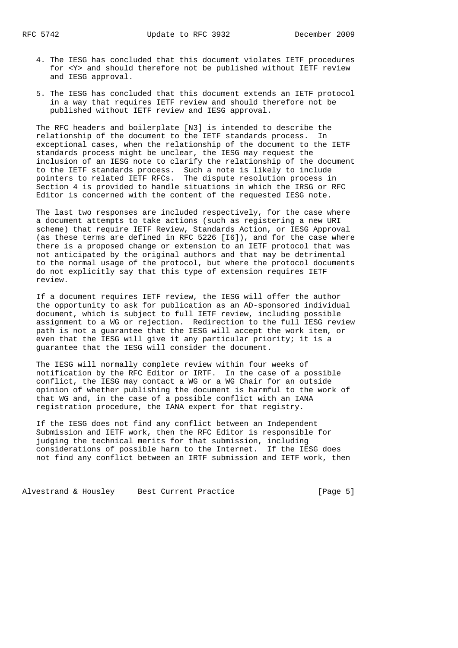- 4. The IESG has concluded that this document violates IETF procedures for <Y> and should therefore not be published without IETF review and IESG approval.
- 5. The IESG has concluded that this document extends an IETF protocol in a way that requires IETF review and should therefore not be published without IETF review and IESG approval.

 The RFC headers and boilerplate [N3] is intended to describe the relationship of the document to the IETF standards process. In exceptional cases, when the relationship of the document to the IETF standards process might be unclear, the IESG may request the inclusion of an IESG note to clarify the relationship of the document to the IETF standards process. Such a note is likely to include pointers to related IETF RFCs. The dispute resolution process in Section 4 is provided to handle situations in which the IRSG or RFC Editor is concerned with the content of the requested IESG note.

 The last two responses are included respectively, for the case where a document attempts to take actions (such as registering a new URI scheme) that require IETF Review, Standards Action, or IESG Approval (as these terms are defined in RFC 5226 [I6]), and for the case where there is a proposed change or extension to an IETF protocol that was not anticipated by the original authors and that may be detrimental to the normal usage of the protocol, but where the protocol documents do not explicitly say that this type of extension requires IETF review.

 If a document requires IETF review, the IESG will offer the author the opportunity to ask for publication as an AD-sponsored individual document, which is subject to full IETF review, including possible assignment to a WG or rejection. Redirection to the full IESG review path is not a guarantee that the IESG will accept the work item, or even that the IESG will give it any particular priority; it is a guarantee that the IESG will consider the document.

 The IESG will normally complete review within four weeks of notification by the RFC Editor or IRTF. In the case of a possible conflict, the IESG may contact a WG or a WG Chair for an outside opinion of whether publishing the document is harmful to the work of that WG and, in the case of a possible conflict with an IANA registration procedure, the IANA expert for that registry.

 If the IESG does not find any conflict between an Independent Submission and IETF work, then the RFC Editor is responsible for judging the technical merits for that submission, including considerations of possible harm to the Internet. If the IESG does not find any conflict between an IRTF submission and IETF work, then

Alvestrand & Housley Best Current Practice [Page 5]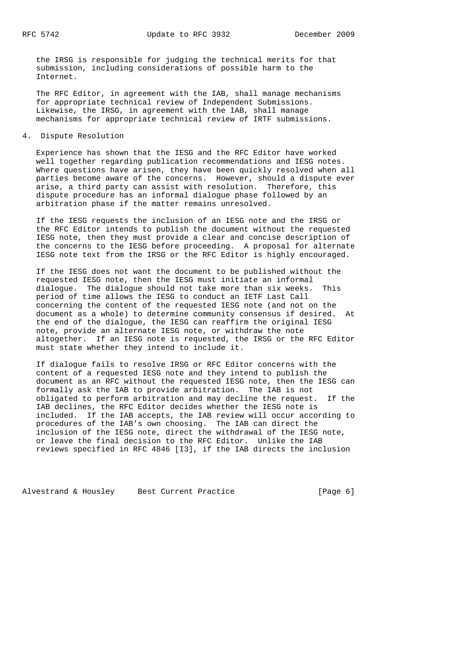the IRSG is responsible for judging the technical merits for that submission, including considerations of possible harm to the Internet.

 The RFC Editor, in agreement with the IAB, shall manage mechanisms for appropriate technical review of Independent Submissions. Likewise, the IRSG, in agreement with the IAB, shall manage mechanisms for appropriate technical review of IRTF submissions.

4. Dispute Resolution

 Experience has shown that the IESG and the RFC Editor have worked well together regarding publication recommendations and IESG notes. Where questions have arisen, they have been quickly resolved when all parties become aware of the concerns. However, should a dispute ever arise, a third party can assist with resolution. Therefore, this dispute procedure has an informal dialogue phase followed by an arbitration phase if the matter remains unresolved.

 If the IESG requests the inclusion of an IESG note and the IRSG or the RFC Editor intends to publish the document without the requested IESG note, then they must provide a clear and concise description of the concerns to the IESG before proceeding. A proposal for alternate IESG note text from the IRSG or the RFC Editor is highly encouraged.

 If the IESG does not want the document to be published without the requested IESG note, then the IESG must initiate an informal dialogue. The dialogue should not take more than six weeks. This period of time allows the IESG to conduct an IETF Last Call concerning the content of the requested IESG note (and not on the document as a whole) to determine community consensus if desired. At the end of the dialogue, the IESG can reaffirm the original IESG note, provide an alternate IESG note, or withdraw the note altogether. If an IESG note is requested, the IRSG or the RFC Editor must state whether they intend to include it.

 If dialogue fails to resolve IRSG or RFC Editor concerns with the content of a requested IESG note and they intend to publish the document as an RFC without the requested IESG note, then the IESG can formally ask the IAB to provide arbitration. The IAB is not obligated to perform arbitration and may decline the request. If the IAB declines, the RFC Editor decides whether the IESG note is included. If the IAB accepts, the IAB review will occur according to procedures of the IAB's own choosing. The IAB can direct the inclusion of the IESG note, direct the withdrawal of the IESG note, or leave the final decision to the RFC Editor. Unlike the IAB reviews specified in RFC 4846 [I3], if the IAB directs the inclusion

Alvestrand & Housley Best Current Practice [Page 6]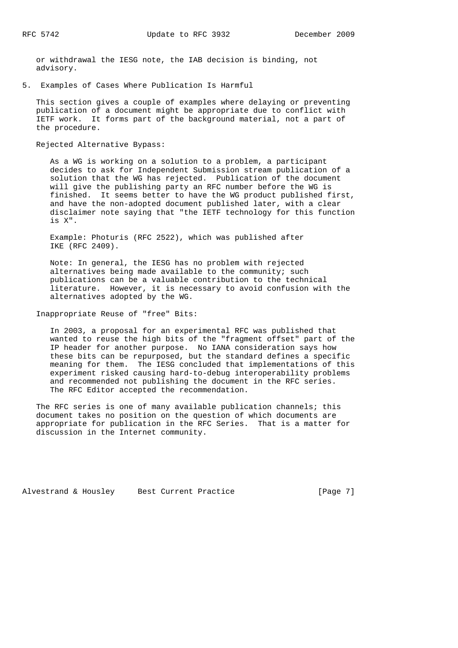or withdrawal the IESG note, the IAB decision is binding, not advisory.

5. Examples of Cases Where Publication Is Harmful

 This section gives a couple of examples where delaying or preventing publication of a document might be appropriate due to conflict with IETF work. It forms part of the background material, not a part of the procedure.

Rejected Alternative Bypass:

 As a WG is working on a solution to a problem, a participant decides to ask for Independent Submission stream publication of a solution that the WG has rejected. Publication of the document will give the publishing party an RFC number before the WG is finished. It seems better to have the WG product published first, and have the non-adopted document published later, with a clear disclaimer note saying that "the IETF technology for this function is X".

 Example: Photuris (RFC 2522), which was published after IKE (RFC 2409).

 Note: In general, the IESG has no problem with rejected alternatives being made available to the community; such publications can be a valuable contribution to the technical literature. However, it is necessary to avoid confusion with the alternatives adopted by the WG.

Inappropriate Reuse of "free" Bits:

 In 2003, a proposal for an experimental RFC was published that wanted to reuse the high bits of the "fragment offset" part of the IP header for another purpose. No IANA consideration says how these bits can be repurposed, but the standard defines a specific meaning for them. The IESG concluded that implementations of this experiment risked causing hard-to-debug interoperability problems and recommended not publishing the document in the RFC series. The RFC Editor accepted the recommendation.

The RFC series is one of many available publication channels; this document takes no position on the question of which documents are appropriate for publication in the RFC Series. That is a matter for discussion in the Internet community.

Alvestrand & Housley Best Current Practice [Page 7]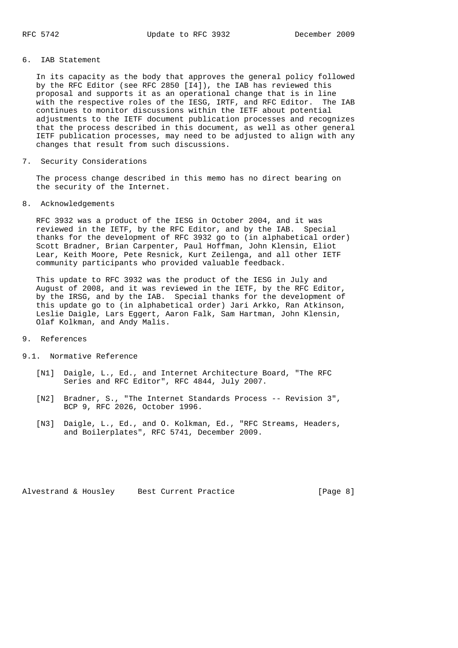## 6. IAB Statement

 In its capacity as the body that approves the general policy followed by the RFC Editor (see RFC 2850 [I4]), the IAB has reviewed this proposal and supports it as an operational change that is in line with the respective roles of the IESG, IRTF, and RFC Editor. The IAB continues to monitor discussions within the IETF about potential adjustments to the IETF document publication processes and recognizes that the process described in this document, as well as other general IETF publication processes, may need to be adjusted to align with any changes that result from such discussions.

7. Security Considerations

 The process change described in this memo has no direct bearing on the security of the Internet.

8. Acknowledgements

 RFC 3932 was a product of the IESG in October 2004, and it was reviewed in the IETF, by the RFC Editor, and by the IAB. Special thanks for the development of RFC 3932 go to (in alphabetical order) Scott Bradner, Brian Carpenter, Paul Hoffman, John Klensin, Eliot Lear, Keith Moore, Pete Resnick, Kurt Zeilenga, and all other IETF community participants who provided valuable feedback.

 This update to RFC 3932 was the product of the IESG in July and August of 2008, and it was reviewed in the IETF, by the RFC Editor, by the IRSG, and by the IAB. Special thanks for the development of this update go to (in alphabetical order) Jari Arkko, Ran Atkinson, Leslie Daigle, Lars Eggert, Aaron Falk, Sam Hartman, John Klensin, Olaf Kolkman, and Andy Malis.

### 9. References

9.1. Normative Reference

- [N1] Daigle, L., Ed., and Internet Architecture Board, "The RFC Series and RFC Editor", RFC 4844, July 2007.
- [N2] Bradner, S., "The Internet Standards Process -- Revision 3", BCP 9, RFC 2026, October 1996.
- [N3] Daigle, L., Ed., and O. Kolkman, Ed., "RFC Streams, Headers, and Boilerplates", RFC 5741, December 2009.

Alvestrand & Housley Best Current Practice [Page 8]